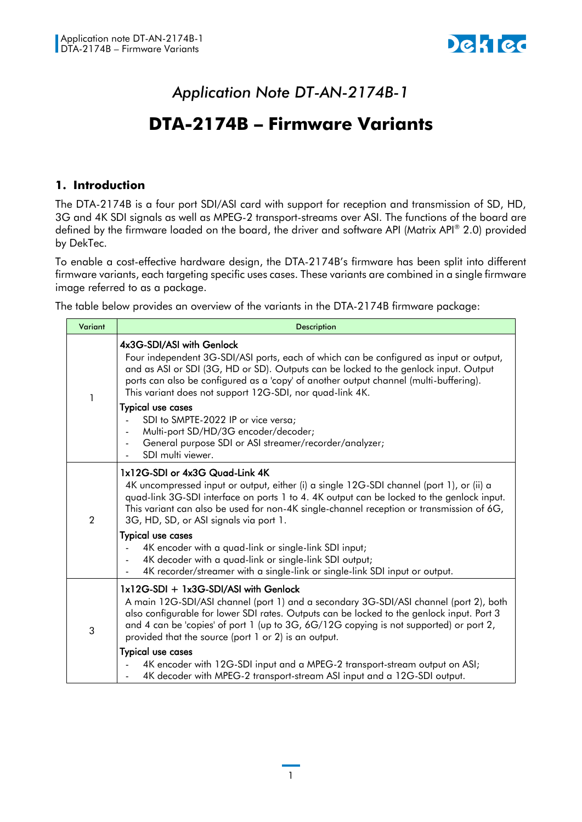

# *Application Note DT-AN-2174B-1*

# **DTA-2174B – Firmware Variants**

## **1. Introduction**

The DTA-2174B is a four port SDI/ASI card with support for reception and transmission of SD, HD, 3G and 4K SDI signals as well as MPEG-2 transport-streams over ASI. The functions of the board are defined by the firmware loaded on the board, the driver and software API (Matrix API® 2.0) provided by DekTec.

To enable a cost-effective hardware design, the DTA-2174B's firmware has been split into different firmware variants, each targeting specific uses cases. These variants are combined in a single firmware image referred to as a package.

The table below provides an overview of the variants in the DTA-2174B firmware package:

| Variant        | <b>Description</b>                                                                                                                                                                                                                                                                                                                                                            |
|----------------|-------------------------------------------------------------------------------------------------------------------------------------------------------------------------------------------------------------------------------------------------------------------------------------------------------------------------------------------------------------------------------|
| 1              | 4x3G-SDI/ASI with Genlock<br>Four independent 3G-SDI/ASI ports, each of which can be configured as input or output,<br>and as ASI or SDI (3G, HD or SD). Outputs can be locked to the genlock input. Output<br>ports can also be configured as a 'copy' of another output channel (multi-buffering).<br>This variant does not support 12G-SDI, nor quad-link 4K.              |
|                | <b>Typical use cases</b><br>SDI to SMPTE-2022 IP or vice versa;<br>Multi-port SD/HD/3G encoder/decoder;<br>General purpose SDI or ASI streamer/recorder/analyzer;<br>SDI multi viewer.                                                                                                                                                                                        |
| $\overline{2}$ | 1x12G-SDI or 4x3G Quad-Link 4K<br>4K uncompressed input or output, either (i) a single 12G-SDI channel (port 1), or (ii) a<br>quad-link 3G-SDI interface on ports 1 to 4.4K output can be locked to the genlock input.<br>This variant can also be used for non-4K single-channel reception or transmission of 6G,<br>3G, HD, SD, or ASI signals via port 1.                  |
|                | <b>Typical use cases</b><br>4K encoder with a quad-link or single-link SDI input;<br>4K decoder with a quad-link or single-link SDI output;<br>4K recorder/streamer with a single-link or single-link SDI input or output.                                                                                                                                                    |
| 3              | 1x12G-SDI + 1x3G-SDI/ASI with Genlock<br>A main 12G-SDI/ASI channel (port 1) and a secondary 3G-SDI/ASI channel (port 2), both<br>also configurable for lower SDI rates. Outputs can be locked to the genlock input. Port 3<br>and 4 can be 'copies' of port 1 (up to 3G, 6G/12G copying is not supported) or port 2,<br>provided that the source (port 1 or 2) is an output. |
|                | <b>Typical use cases</b><br>4K encoder with 12G-SDI input and a MPEG-2 transport-stream output on ASI;<br>4K decoder with MPEG-2 transport-stream ASI input and a 12G-SDI output.                                                                                                                                                                                             |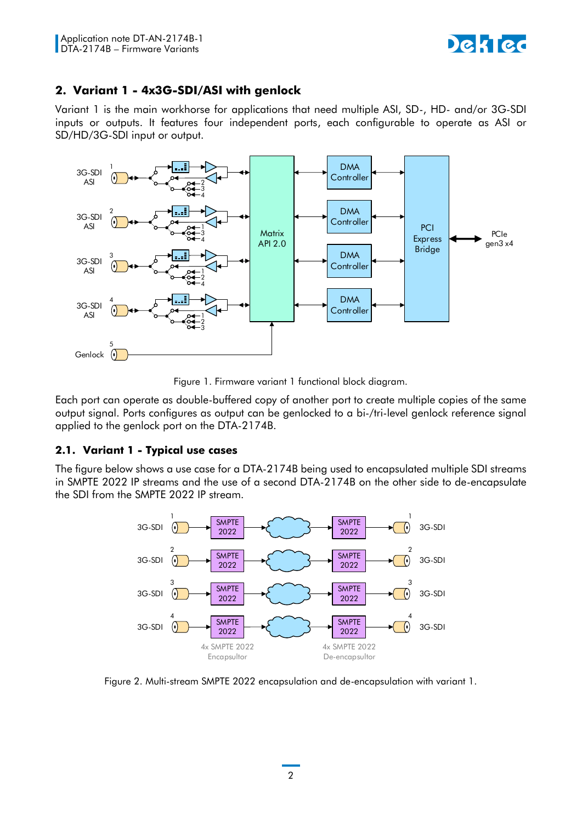

# **2. Variant 1 - 4x3G-SDI/ASI with genlock**

Variant 1 is the main workhorse for applications that need multiple ASI, SD-, HD- and/or 3G-SDI inputs or outputs. It features four independent ports, each configurable to operate as ASI or SD/HD/3G-SDI input or output.



Figure 1. Firmware variant 1 functional block diagram.

Each port can operate as double-buffered copy of another port to create multiple copies of the same output signal. Ports configures as output can be genlocked to a bi-/tri-level genlock reference signal applied to the genlock port on the DTA-2174B.

# **2.1. Variant 1 - Typical use cases**

The figure [below](#page-1-0) shows a use case for a DTA-2174B being used to encapsulated multiple SDI streams in SMPTE 2022 IP streams and the use of a second DTA-2174B on the other side to de-encapsulate the SDI from the SMPTE 2022 IP stream.



<span id="page-1-0"></span>Figure 2. Multi-stream SMPTE 2022 encapsulation and de-encapsulation with variant 1.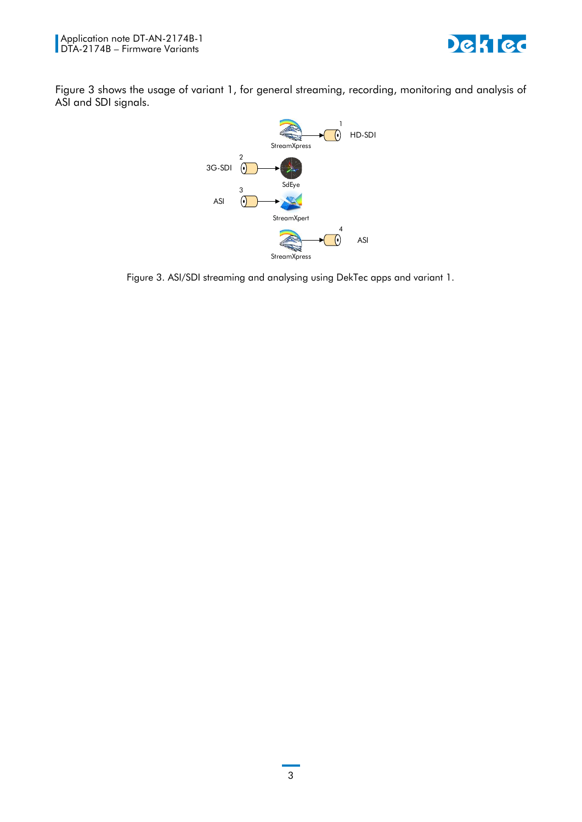



[Figure 3](#page-2-0) shows the usage of variant 1, for general streaming, recording, monitoring and analysis of ASI and SDI signals.



<span id="page-2-0"></span>Figure 3. ASI/SDI streaming and analysing using DekTec apps and variant 1.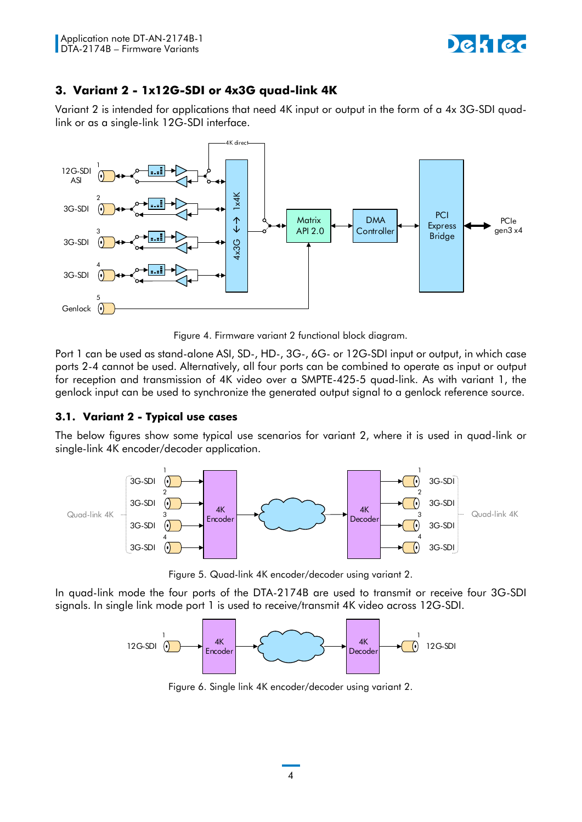

# **3. Variant 2 - 1x12G-SDI or 4x3G quad-link 4K**

Variant 2 is intended for applications that need 4K input or output in the form of a 4x 3G-SDI quadlink or as a single-link 12G-SDI interface.



Figure 4. Firmware variant 2 functional block diagram.

Port 1 can be used as stand-alone ASI, SD-, HD-, 3G-, 6G- or 12G-SDI input or output, in which case ports 2-4 cannot be used. Alternatively, all four ports can be combined to operate as input or output for reception and transmission of 4K video over a SMPTE-425-5 quad-link. As with variant 1, the genlock input can be used to synchronize the generated output signal to a genlock reference source.

#### **3.1. Variant 2 - Typical use cases**

The [below](#page-3-0) figures show some typical use scenarios for variant 2, where it is used in quad-link or single-link 4K encoder/decoder application.



Figure 5. Quad-link 4K encoder/decoder using variant 2.

<span id="page-3-0"></span>In quad-link mode the four ports of the DTA-2174B are used to transmit or receive four 3G-SDI signals. In single link mode port 1 is used to receive/transmit 4K video across 12G-SDI.



Figure 6. Single link 4K encoder/decoder using variant 2.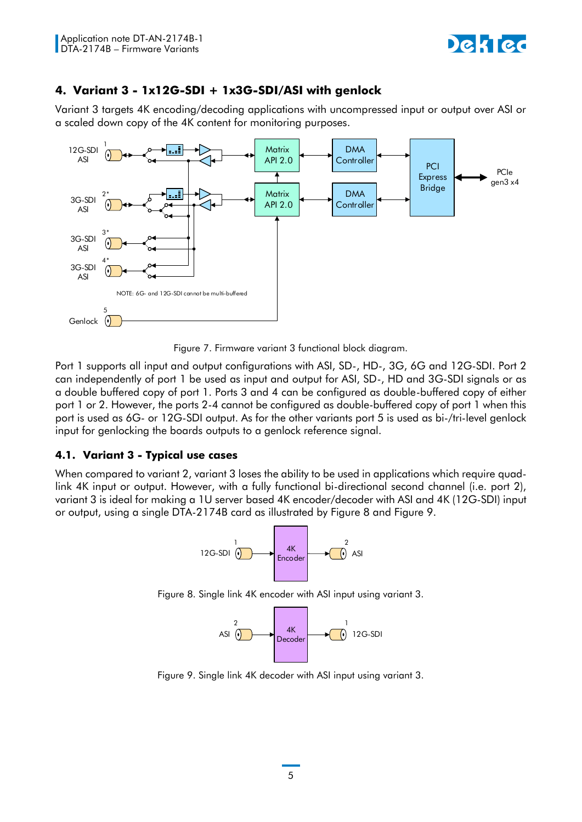

# **4. Variant 3 - 1x12G-SDI + 1x3G-SDI/ASI with genlock**

Variant 3 targets 4K encoding/decoding applications with uncompressed input or output over ASI or a scaled down copy of the 4K content for monitoring purposes.



Figure 7. Firmware variant 3 functional block diagram.

Port 1 supports all input and output configurations with ASI, SD-, HD-, 3G, 6G and 12G-SDI. Port 2 can independently of port 1 be used as input and output for ASI, SD-, HD and 3G-SDI signals or as a double buffered copy of port 1. Ports 3 and 4 can be configured as double-buffered copy of either port 1 or 2. However, the ports 2-4 cannot be configured as double-buffered copy of port 1 when this port is used as 6G- or 12G-SDI output. As for the other variants port 5 is used as bi-/tri-level genlock input for genlocking the boards outputs to a genlock reference signal.

# **4.1. Variant 3 - Typical use cases**

When compared to variant 2, variant 3 loses the ability to be used in applications which require quadlink 4K input or output. However, with a fully functional bi-directional second channel (i.e. port 2), variant 3 is ideal for making a 1U server based 4K encoder/decoder with ASI and 4K (12G-SDI) input or output, using a single DTA-2174B card as illustrated by [Figure 8](#page-4-0) and [Figure 9.](#page-4-1)



<span id="page-4-0"></span>Figure 8. Single link 4K encoder with ASI input using variant 3.



<span id="page-4-1"></span>Figure 9. Single link 4K decoder with ASI input using variant 3.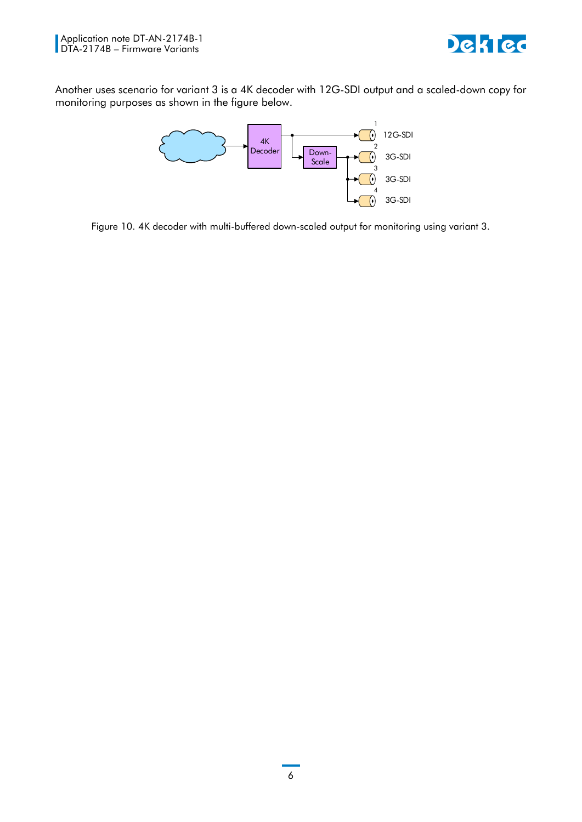

Another uses scenario for variant 3 is a 4K decoder with 12G-SDI output and a scaled-down copy for monitoring purposes as shown in the figure [below.](#page-5-0)



<span id="page-5-0"></span>Figure 10. 4K decoder with multi-buffered down-scaled output for monitoring using variant 3.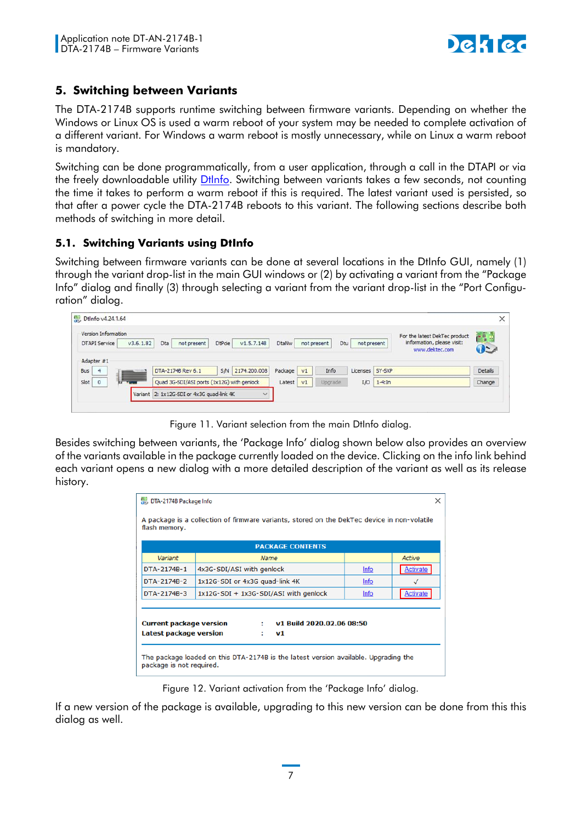

# **5. Switching between Variants**

The DTA-2174B supports runtime switching between firmware variants. Depending on whether the Windows or Linux OS is used a warm reboot of your system may be needed to complete activation of a different variant. For Windows a warm reboot is mostly unnecessary, while on Linux a warm reboot is mandatory.

Switching can be done programmatically, from a user application, through a call in the DTAPI or via the freely downloadable utility [DtInfo.](https://www.dektec.com/downloads/utilities/) Switching between variants takes a few seconds, not counting the time it takes to perform a warm reboot if this is required. The latest variant used is persisted, so that after a power cycle the DTA-2174B reboots to this variant. The following sections describe both methods of switching in more detail.

# **5.1. Switching Variants using DtInfo**

Switching between firmware variants can be done at several locations in the DtInfo GUI, namely (1) through the variant drop-list in the main GUI windows or (2) by activating a variant from the "Package Info" dialog and finally (3) through selecting a variant from the variant drop-list in the "Port Configuration" dialog.

| Version Information<br><b>DTAPI Service</b><br>Adapter #1 | v3.6.1.82                                           | V1.5.7.148<br>DtPoe <sup>1</sup><br>Dta<br>not present | <b>DtaNw</b> |                | Dtu<br>not present | not present     | For the latest DekTec product<br>information, please visit:<br>www.dektec.com | rad<br>$\bullet$ |
|-----------------------------------------------------------|-----------------------------------------------------|--------------------------------------------------------|--------------|----------------|--------------------|-----------------|-------------------------------------------------------------------------------|------------------|
| Bus<br>4                                                  |                                                     | 2174.200.008<br>SM<br>DTA-2174B Rev 6.1                | Package      | v1             | Info               | Licenses SY-SXP |                                                                               | Details          |
| Slot<br>$\circ$                                           | <b>TIME</b>                                         | Quad 3G-SDI/ASI ports (1x12G) with genlock             | Latest       | V <sub>1</sub> | Upgrade.           | I/O             | $1-4:In$                                                                      | Change           |
|                                                           | Variant 2: 1x12G-SDI or 4x3G quad-link 4K<br>$\sim$ |                                                        |              |                |                    |                 |                                                                               |                  |

Figure 11. Variant selection from the main DtInfo dialog.

Besides switching between variants, the 'Package Info' dialog shown [below](#page-6-0) also provides an overview of the variants available in the package currently loaded on the device. Clicking on the info link behind each variant opens a new dialog with a more detailed description of the variant as well as its release history.

| DTA-2174B Package Info                                   |                           |                                                                                             |             | ×               |
|----------------------------------------------------------|---------------------------|---------------------------------------------------------------------------------------------|-------------|-----------------|
| flash memory.                                            |                           | A package is a collection of firmware variants, stored on the DekTec device in non-volatile |             |                 |
|                                                          |                           | <b>PACKAGE CONTENTS</b>                                                                     |             |                 |
| Variant                                                  |                           | Name                                                                                        |             | Active          |
| DTA-2174B-1                                              | 4x3G-SDI/ASI with genlock |                                                                                             | <b>Info</b> | <b>Activate</b> |
| DTA-2174B-2                                              |                           | 1x12G-SDI or 4x3G quad-link 4K                                                              | Info        |                 |
| DTA-2174B-3                                              |                           | 1x12G-SDI + 1x3G-SDI/ASI with genlock                                                       | <b>Info</b> | Activate        |
| <b>Current package version</b><br>Latest package version |                           | v1 Build 2020.02.06 08:50<br>v1<br>٠                                                        |             |                 |
| package is not required.                                 |                           | The package loaded on this DTA-2174B is the latest version available. Upgrading the         |             |                 |

Figure 12. Variant activation from the 'Package Info' dialog.

<span id="page-6-0"></span>If a new version of the package is available, upgrading to this new version can be done from this this dialog as well.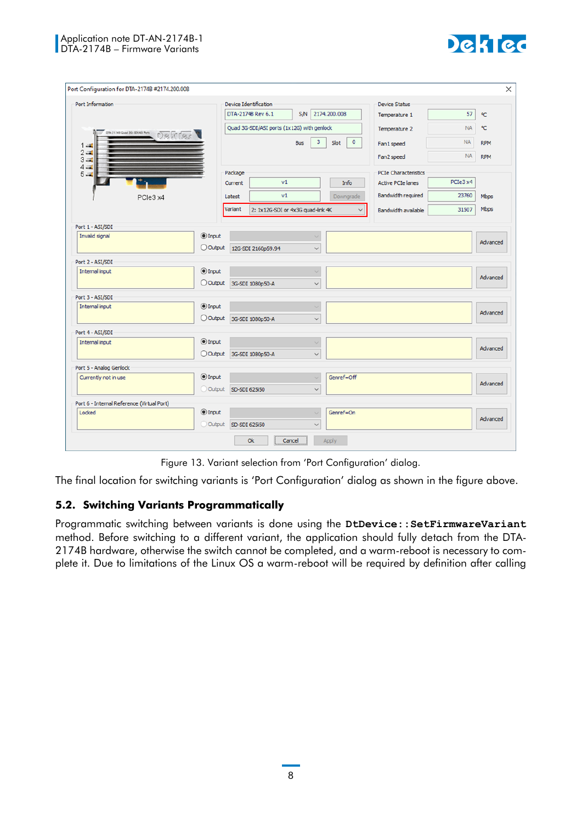

| Port Configuration for DTA-2174B #2174.200.008 |                      |                       |                                            |                 |                 |                             |           | $\times$   |
|------------------------------------------------|----------------------|-----------------------|--------------------------------------------|-----------------|-----------------|-----------------------------|-----------|------------|
| Port Information                               |                      | Device Identification |                                            |                 |                 | <b>Device Status</b>        |           |            |
|                                                |                      |                       | DTA-21748 Rev 6.1                          | <b>S/N</b>      | 2174.200.008    | Temperature 1               | 57        | ٩C         |
|                                                |                      |                       | Quad 3G-SDI/ASI ports (1x12G) with genlock |                 |                 | Temperature 2               | <b>NA</b> | ٩C         |
| <b>DR.31748 Quad 3G-SDIAS Ports</b>            |                      |                       |                                            | 3<br><b>Bus</b> | $\circ$<br>Slot | Fan1 speed                  | <b>NA</b> | <b>RPM</b> |
| $1 - 2$<br>$2 - $                              |                      |                       |                                            |                 |                 |                             |           |            |
| $3 -$<br>$4 -$                                 |                      |                       |                                            |                 |                 | Fan2 speed                  | <b>NA</b> | <b>RPM</b> |
| $5 -$                                          |                      | Package               |                                            |                 |                 | <b>PCIe Characteristics</b> |           |            |
|                                                |                      | Current               | v1                                         |                 | Info            | <b>Active PCIe lanes</b>    | PCIe3 x4  |            |
| PCle3 x4                                       |                      | Latest                | v1                                         |                 | Downgrade       | <b>Bandwidth required</b>   | 23760     | Mbps       |
|                                                |                      | Variant               | 2: 1x12G-SDI or 4x3G quad-link 4K          |                 | $\checkmark$    | Bandwidth available         | 31507     | Mbps       |
|                                                |                      |                       |                                            |                 |                 |                             |           |            |
| Port 1 - ASI/SDI<br>Invalid signal             | $\odot$ Input        |                       |                                            | $\checkmark$    |                 |                             |           |            |
|                                                | O Output             |                       | 12G-SDI 2160p59.94                         | $\checkmark$    |                 |                             |           | Advanced   |
|                                                |                      |                       |                                            |                 |                 |                             |           |            |
| Port 2 - ASI/SDI<br>Internal input             | $\odot$ Input        |                       |                                            | $\sim$          |                 |                             |           |            |
|                                                | O Output             |                       | 3G-SDI 1080p50-A                           | $\checkmark$    |                 |                             |           | Advanced   |
|                                                |                      |                       |                                            |                 |                 |                             |           |            |
| Port 3 - ASI/SDI<br>Internal input             | $①$ Input            |                       |                                            | $\checkmark$    |                 |                             |           |            |
|                                                | O Output             |                       |                                            | $\checkmark$    |                 |                             |           | Advanced   |
|                                                |                      |                       | 3G-SDI 1080p50-A                           |                 |                 |                             |           |            |
| Port 4 - ASI/SDI                               | $\circledcirc$ Input |                       |                                            |                 |                 |                             |           |            |
| Internal input                                 |                      |                       |                                            | $\checkmark$    |                 |                             |           | Advanced   |
|                                                | O Output             |                       | 3G-SDI 1080p50-A                           | $\checkmark$    |                 |                             |           |            |
| Port 5 - Analog Genlock                        |                      |                       |                                            |                 |                 |                             |           |            |
| Currently not in use                           | $\odot$ Input        |                       |                                            | $\checkmark$    | Genref=Off      |                             |           | Advanced   |
|                                                | Output               | SD-SDI 625i50         |                                            | $\checkmark$    |                 |                             |           |            |
| Port 6 - Internal Reference (Virtual Port)     |                      |                       |                                            |                 |                 |                             |           |            |
| Locked                                         | $\odot$ Input        |                       |                                            |                 | Genref=On       |                             |           | Advanced   |
|                                                | Output               | SD-SDI 625i50         |                                            | $\checkmark$    |                 |                             |           |            |
|                                                |                      |                       | Ok<br>Cancel                               |                 | Apply           |                             |           |            |

Figure 13. Variant selection from 'Port Configuration' dialog.

<span id="page-7-0"></span>The final location for switching variants is 'Port Configuration' dialog as shown in the figure [above.](#page-7-0)

#### **5.2. Switching Variants Programmatically**

Programmatic switching between variants is done using the DtDevice:: SetFirmwareVariant method. Before switching to a different variant, the application should fully detach from the DTA-2174B hardware, otherwise the switch cannot be completed, and a warm-reboot is necessary to complete it. Due to limitations of the Linux OS a warm-reboot will be required by definition after calling